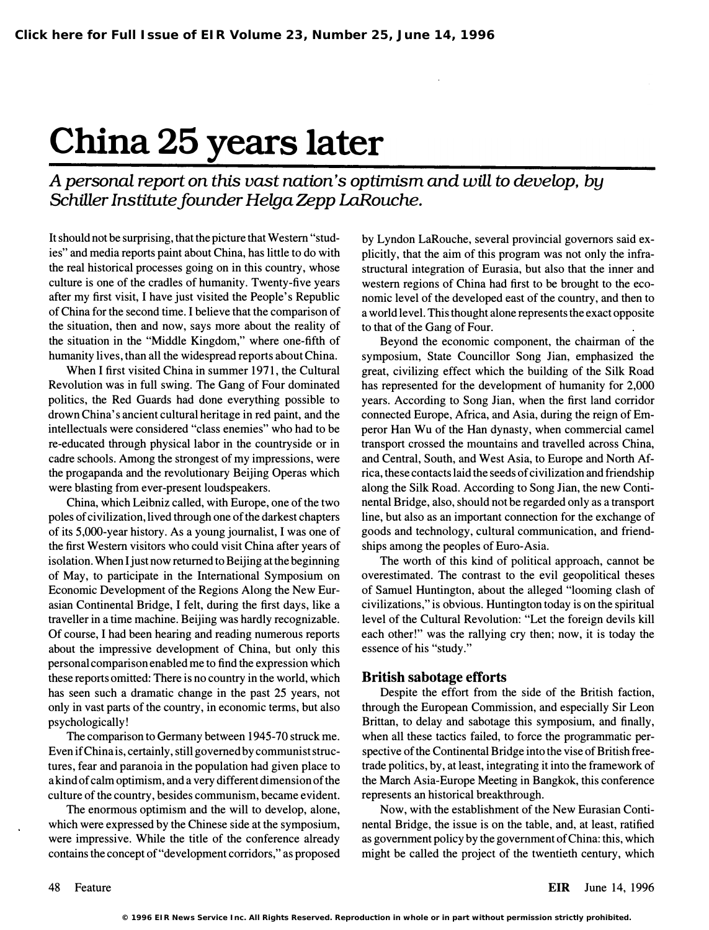# China 25 years later

A personal report on this vast nation's optimism and will to develop, by Schiller Institute founder Helga Zepp LaRouche.

It should not be surprising, that the picture that Western "studies" and media reports paint about China, has little to do with the real historical processes going on in this country, whose culture is one of the cradles of humanity. Twenty-five years after my first visit, I have just visited the People's Republic of China for the second time. I believe that the comparison of the situation, then and now, says more about the reality of the situation in the "Middle Kingdom," where one-fifth of humanity lives, than all the widespread reports about China.

When I first visited China in summer 1971, the Cultural Revolution was in full swing. The Gang of Four dominated politics, the Red Guards had done everything possible to drown China's ancient cultural heritage in red paint, and the intellectuals were considered "class enemies" who had to be re-educated through physical labor in the countryside or in cadre schools. Among the strongest of my impressions, were the progapanda and the revolutionary Beijing Operas which were blasting from ever-present loudspeakers.

China, which Leibniz called, with Europe, one of the two poles of civilization, lived through one of the darkest chapters of its 5,OOO-year history. As a young journalist, I was one of the first Western visitors who could visit China after years of isolation. When I just now returned to Beijing at the beginning of May, to participate in the International Symposium on Economic Development of the Regions Along the New Eurasian Continental Bridge, I felt, during the first days, like a traveller in a time machine. Beijing was hardly recognizable. Of course, I had been hearing and reading numerous reports about the impressive development of China, but only this personal comparison enabled me to find the expression which these reports omitted: There is no country in the world, which has seen such a dramatic change in the past 25 years, not only in vast parts of the country, in economic terms, but also psychologically!

The comparison to Germany between 1945-70 struck me. Even if China is, certainly, still governed by communist structures, fear and paranoia in the population had given place to a kind of calm optimism, and a very different dimension of the culture of the country, besides communism, became evident.

The enormous optimism and the will to develop, alone, which were expressed by the Chinese side at the symposium, were impressive. While the title of the conference already contains the concept of "development corridors," as proposed by Lyndon LaRouche, several provincial governors said explicitly, that the aim of this program was not only the infrastructural integration of Eurasia, but also that the inner and western regions of China had first to be brought to the economic level of the developed east of the country, and then to a world level. This thought alone represents the exact opposite to that of the Gang of Four.

Beyond the economic component, the chairman of the symposium, State Councillor Song Jian, emphasized the great, civilizing effect which the building of the Silk Road has represented for the development of humanity for 2,000 years. According to Song Jian, when the first land corridor connected Europe, Africa, and Asia, during the reign of Emperor Han Wu of the Han dynasty, when commercial camel transport crossed the mountains and travelled across China, and Central, South, and West Asia, to Europe and North Africa, these contacts laid the seeds of civilization and friendship along the Silk Road. According to Song Jian, the new Continental Bridge, also, should not be regarded only as a transport line, but also as an important connection for the exchange of goods and technology, cultural communication, and friendships among the peoples of Euro-Asia.

The worth of this kind of political approach, cannot be overestimated. The contrast to the evil geopolitical theses of Samuel Huntington, about the alleged "looming clash of civilizations," is obvious. Huntington today is on the spiritual level of the Cultural Revolution: "Let the foreign devils kill each other!" was the rallying cry then; now, it is today the essence of his "study."

### British sabotage efforts

Despite the effort from the side of the British faction, through the European Commission, and especially Sir Leon Brittan, to delay and sabotage this symposium, and finally, when all these tactics failed, to force the programmatic perspective of the Continental Bridge into the vise of British freetrade politics, by, at least, integrating it into the framework of the March Asia-Europe Meeting in Bangkok, this conference represents an historical breakthrough.

Now, with the establishment of the New Eurasian Continental Bridge, the issue is on the table, and, at least, ratified as government policy by the government of China: this, which might be called the project of the twentieth century, which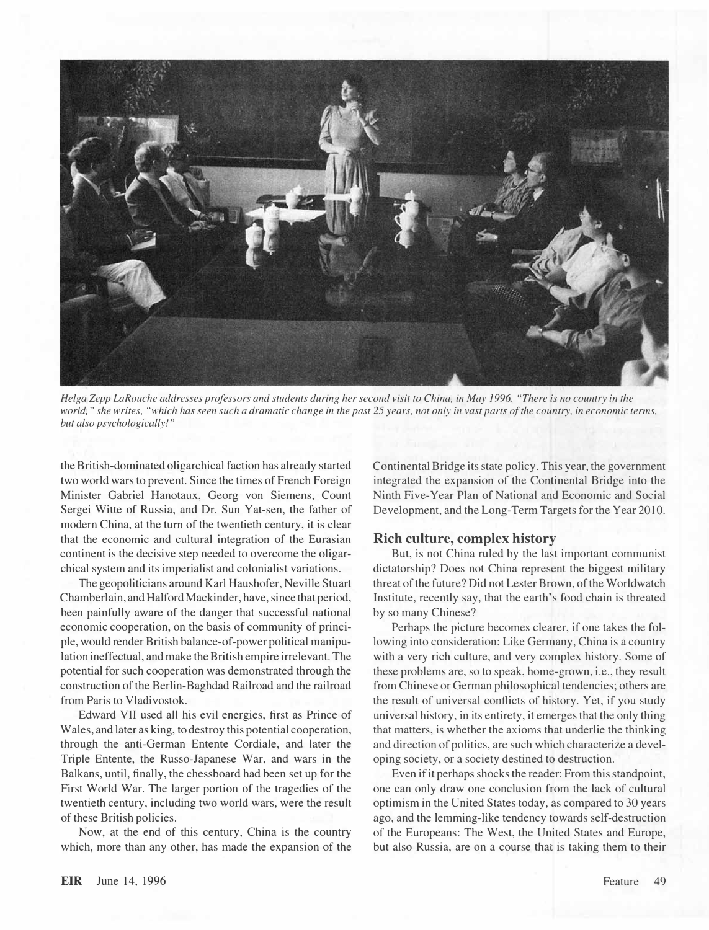

Helga Zepp LaRouche addresses professors and students during her second visit to China, in May 1996. "There is no country in the world," she writes, "which has seen such a dramatic change in the past 25 years, not only in vast parts of the country, in economic terms, but also psychologically!"

the British-dominated oligarchical faction has already started two world wars to prevent. Since the times of French Foreign Minister Gabriel Hanotaux, Georg von Siemens, Count Sergei Witte of Russia, and Dr. Sun Yat-sen, the father of modern China, at the turn of the twentieth century, it is clear that the economic and cultural integration of the Eurasian continent is the decisive step needed to overcome the oligarchical system and its imperialist and colonialist variations.

The geopoliticians around Karl Haushofer, Neville Stuart Chamberlain, and Halford Mackinder, have, since that period, been painfully aware of the danger that successful national economic cooperation, on the basis of community of principle, would render British balance-of-power political manipulation ineffectual, and make the British empire irrelevant. The potential for such cooperation was demonstrated through the construction of the Berlin-Baghdad Railroad and the railroad from Paris to Vladivostok.

Edward VII used all his evil energies, first as Prince of Wales, and later as king, to destroy this potential cooperation, through the anti-German Entente Cordiale, and later the Triple Entente, the Russo-Japanese War, and wars in the Balkans, until, finally, the chessboard had been set up for the First World War. The larger portion of the tragedies of the twentieth century, including two world wars, were the result of these British policies.

Now, at the end of this century, China is the country which, more than any other, has made the expansion of the Continental Bridge its state policy. This year, the government integrated the expansion of the Continental Bridge into the Ninth Five-Year Plan of National and Economic and Social Development, and the Long-Term Targets for the Year 2010.

### Rich culture, complex history

But, is not China ruled by the last important communist dictatorship? Does not China represent the biggest military threat of the future? Did not Lester Brown, of the Worldwatch Institute, recently say, that the earth's food chain is threated by so many Chinese?

Perhaps the picture becomes clearer, if one takes the following into consideration: Like Germany, China is a country with a very rich culture, and very complex history. Some of these problems are, so to speak, home-grown, i.e., they result from Chinese or German philosophical tendencies; others are the result of universal conflicts of history. Yet, if you study universal history, in its entirety, it emerges that the only thing that matters, is whether the axioms that underlie the thinking and direction of politics, are such which characterize a developing society, or a society destined to destruction.

Even if it perhaps shocks the reader: From this standpoint, one can only draw one conclusion from the lack of cultural optimism in the United States today, as compared to 30 years ago, and the lemming-like tendency towards self-destruction of the Europeans: The West, the United States and Europe, but also Russia, are on a course that is taking them to their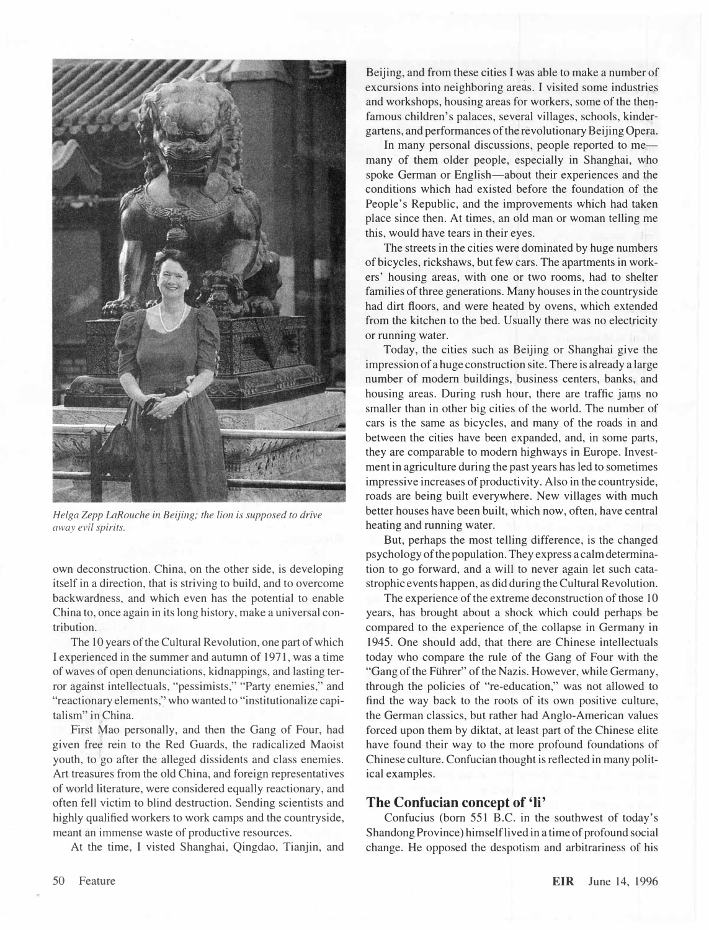

Helga Zepp LaRouche in Beijing; the lion is supposed to drive away evil spirits.

own deconstruction. China, on the other side, is developing itself in a direction, that is striving to build, and to overcome backwardness, and which even has the potential to enable China to, once again in its long history, make a universal contribution.

The 10 years of the Cultural Revolution, one part of which I experienced in the summer and autumn of 1971, was a time of waves of open denunciations, kidnappings, and lasting terror against intellectuals, "pessimists," "Party enemies," and "reactionary elements," who wanted to "institutionalize capitalism" in China.

First Mao personally, and then the Gang of Four, had given free rein to the Red Guards, the radicalized Maoist youth, to go after the alleged dissidents and class enemies. Art treasures from the old China, and foreign representatives of world literature, were considered equally reactionary, and often fell victim to blind destruction. Sending scientists and highly qualified workers to work camps and the countryside, meant an immense waste of productive resources.

At the time, I visted Shanghai, Qingdao, Tianjin, and

Beijing, and from these cities I was able to make a number of excursions into neighboring areas. I visited some industries and workshops, housing areas for workers, some of the thenfamous children's palaces, several villages, schools, kindergartens, and performances of the revolutionary Beijing Opera.

In many personal discussions, people reported to memany of them older people, especially in Shanghai, who spoke German or English-about their experiences and the conditions which had existed before the foundation of the People's Republic, and the improvements which had taken place since then. At times, an old man or woman telling me this, would have tears in their eyes.

The streets in the cities were dominated by huge numbers of bicycles, rickshaws, but few cars. The apartments in workers' housing areas, with one or two rooms, had to shelter families of three generations. Many houses in the countryside had dirt floors, and were heated by ovens, which extended from the kitchen to the bed. Usually there was no electricity or running water.

Today, the cities such as Beijing or Shanghai give the impression of a huge construction site. There is already a large number of modem buildings, business centers, banks, and housing areas. During rush hour, there are traffic jams no smaller than in other big cities of the world. The number of cars is the same as bicycles, and many of the roads in and between the cities have been expanded, and, in some parts, they are comparable to modern highways in Europe. Investment in agriculture during the past years has led to sometimes impressive increases of productivity. Also in the countryside, roads are being built everywhere. New villages with much better houses have been built, which now, often, have central heating and running water.

But, perhaps the most telling difference, is the changed psychology of the population. They express a calm determination to go forward, and a will to never again let such catastrophic events happen, as did during the Cultural Revolution.

The experience of the extreme deconstruction of those 10 years, has brought about a shock which could perhaps be compared to the experience of the collapse in Germany in 1945. One should add, that there are Chinese intellectuals today who compare the rule of the Gang of Four with the "Gang of the Führer" of the Nazis. However, while Germany, through the policies of "re-education," was not allowed to find the way back to the roots of its own positive culture, the German classics, but rather had Anglo-American values forced upon them by diktat, at least part of the Chinese elite have found their way to the more profound foundations of Chinese culture. Confucian thought is reflected in many political examples.

### The Confucian concept of 'Ii'

Confucius (born 551 B.C. in the southwest of today's Shandong Province) himself lived in a time of profound social change. He opposed the despotism and arbitrariness of his